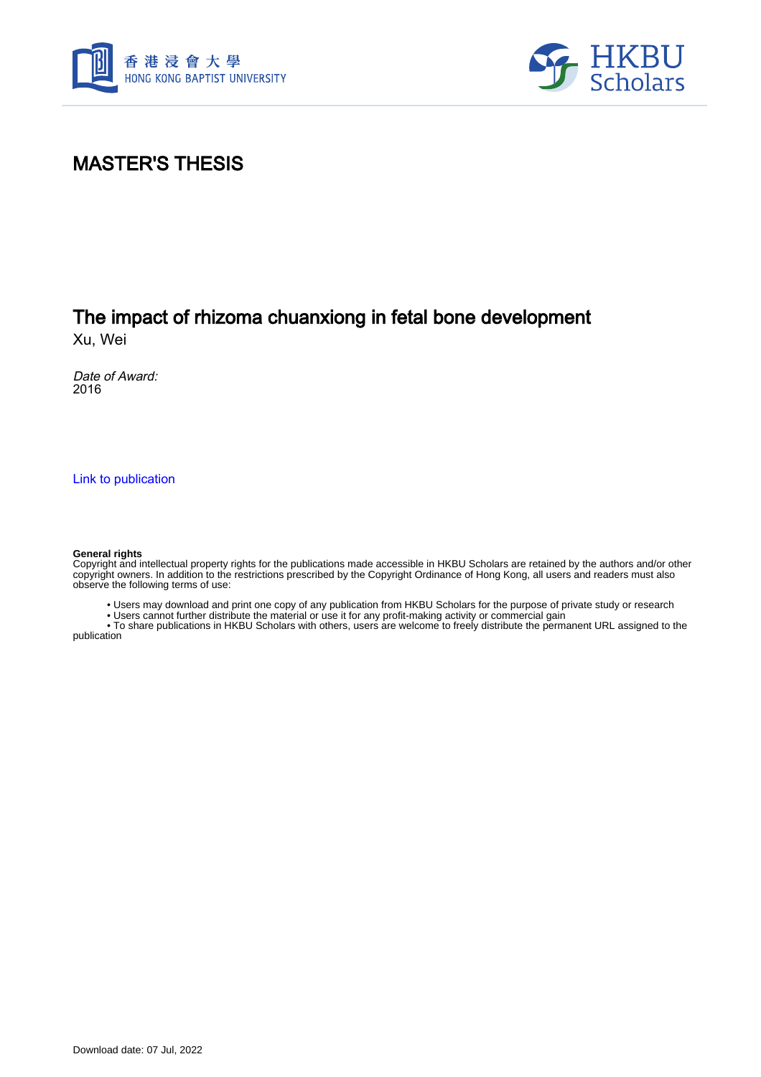



# MASTER'S THESIS

# The impact of rhizoma chuanxiong in fetal bone development

Xu, Wei

Date of Award: 2016

[Link to publication](https://scholars.hkbu.edu.hk/en/studentTheses/537d3427-8931-4df4-9b40-2a723590bc0f)

#### **General rights**

Copyright and intellectual property rights for the publications made accessible in HKBU Scholars are retained by the authors and/or other copyright owners. In addition to the restrictions prescribed by the Copyright Ordinance of Hong Kong, all users and readers must also observe the following terms of use:

• Users may download and print one copy of any publication from HKBU Scholars for the purpose of private study or research

• Users cannot further distribute the material or use it for any profit-making activity or commercial gain

 • To share publications in HKBU Scholars with others, users are welcome to freely distribute the permanent URL assigned to the publication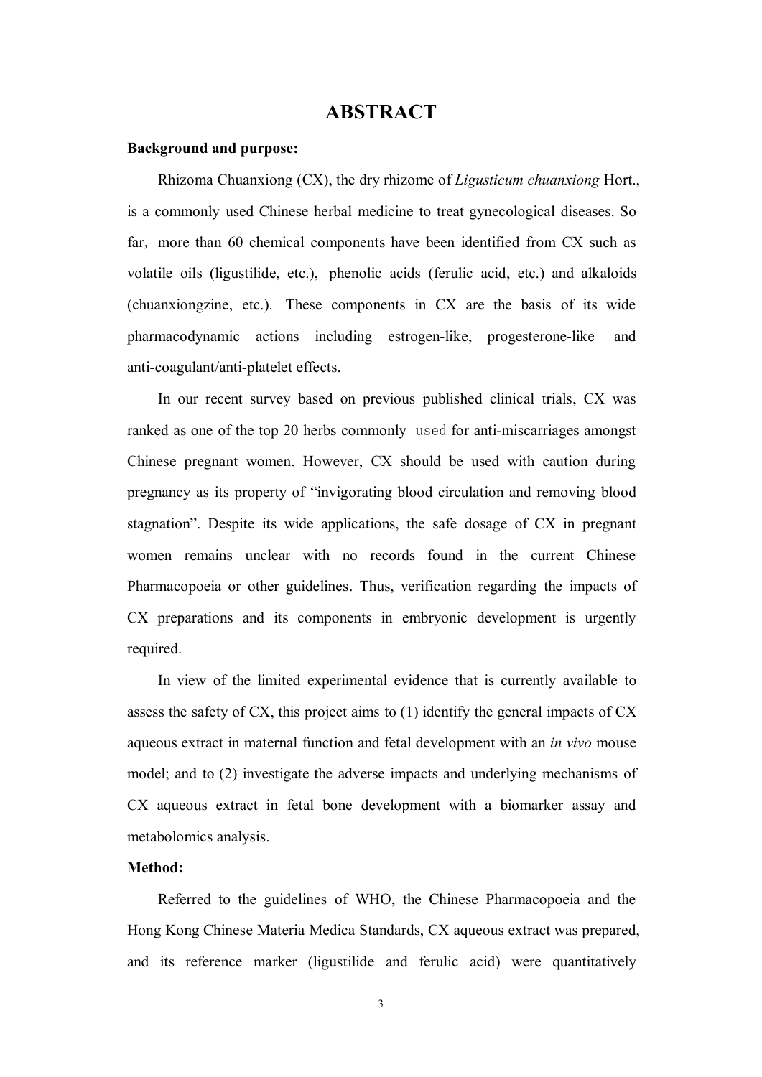#### **ABSTRACT**

#### **Background and purpose:**

Rhizoma Chuanxiong (CX), the dry rhizome of *Ligusticum chuanxiong* Hort., is a commonly used Chinese herbal medicine to treat gynecological diseases. So far, more than 60 chemical components have been identified from CX such as volatile oils (ligustilide, etc.), phenolic acids (ferulic acid, etc.) and alkaloids (chuanxiongzine, etc.). These components in CX are the basis of its wide pharmacodynamic actions including estrogen-like, progesterone-like and anti-coagulant/anti-platelet effects.

In our recent survey based on previous published clinical trials, CX was ranked as one of the top 20 herbs commonly used for anti-miscarriages amongst Chinese pregnant women. However, CX should be used with caution during pregnancy as its property of "invigorating blood circulation and removing blood stagnation". Despite its wide applications, the safe dosage of CX in pregnant women remains unclear with no records found in the current Chinese Pharmacopoeia or other guidelines. Thus, verification regarding the impacts of CX preparations and its components in embryonic development is urgently required.

In view of the limited experimental evidence that is currently available to assess the safety of CX, this project aims to (1) identify the general impacts of CX aqueous extract in maternal function and fetal development with an *in vivo* mouse model; and to (2) investigate the adverse impacts and underlying mechanisms of CX aqueous extract in fetal bone development with a biomarker assay and metabolomics analysis.

#### **Method:**

Referred to the guidelines of WHO, the Chinese Pharmacopoeia and the Hong Kong Chinese Materia Medica Standards, CX aqueous extract was prepared, and its reference marker (ligustilide and ferulic acid) were quantitatively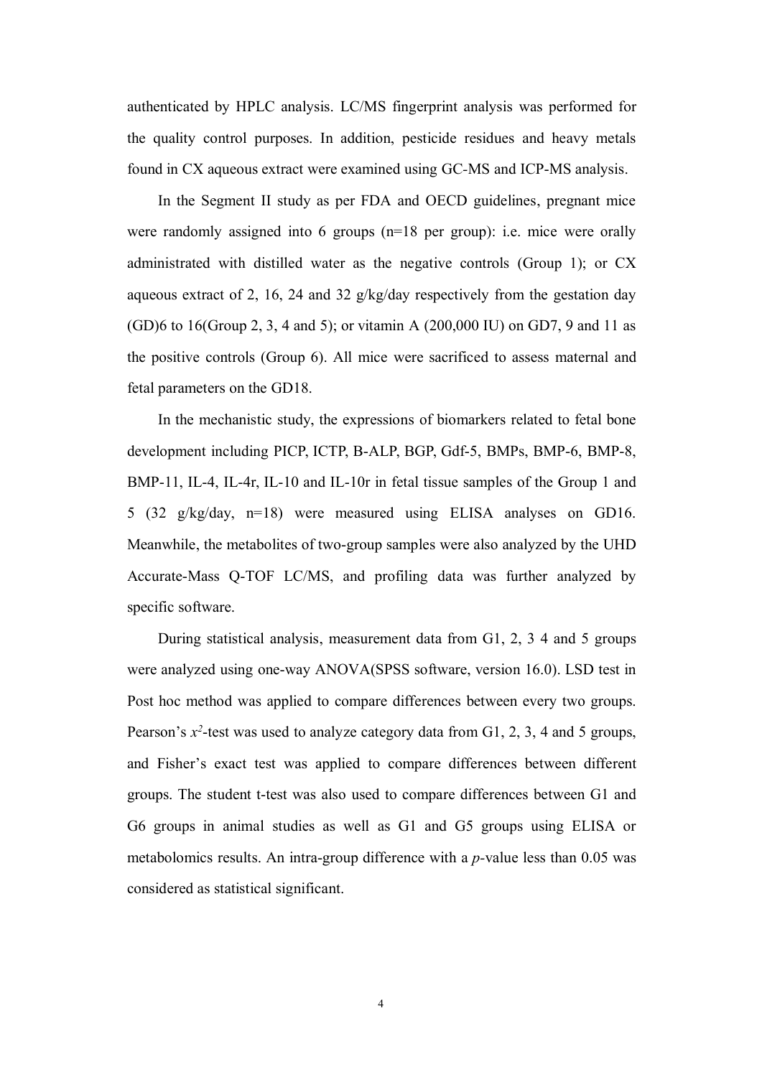authenticated by HPLC analysis. LC/MS fingerprint analysis was performed for the quality control purposes. In addition, pesticide residues and heavy metals found in CX aqueous extract were examined using GC*-*MS and ICP-MS analysis.

In the Segment II study as per FDA and OECD guidelines, pregnant mice were randomly assigned into 6 groups (n=18 per group): i.e. mice were orally administrated with distilled water as the negative controls (Group 1); or CX aqueous extract of 2, 16, 24 and 32 g/kg/day respectively from the gestation day (GD)6 to 16(Group 2, 3, 4 and 5); or vitamin A (200,000 IU) on GD7, 9 and 11 as the positive controls (Group 6). All mice were sacrificed to assess maternal and fetal parameters on the GD18.

In the mechanistic study, the expressions of biomarkers related to fetal bone development including PICP, ICTP, B-ALP, BGP, Gdf-5, BMPs, BMP-6, BMP-8, BMP-11, IL-4, IL-4r, IL-10 and IL-10r in fetal tissue samples of the Group 1 and 5 (32 g/kg/day, n=18) were measured using ELISA analyses on GD16. Meanwhile, the metabolites of two-group samples were also analyzed by the UHD Accurate-Mass Q-TOF LC/MS, and profiling data was further analyzed by specific software.

During statistical analysis, measurement data from G1, 2, 3 4 and 5 groups were analyzed using one-way ANOVA(SPSS software, version 16.0). LSD test in Post hoc method was applied to compare differences between every two groups. Pearson's x<sup>2</sup>-test was used to analyze category data from G1, 2, 3, 4 and 5 groups, and Fisher's exact test was applied to compare differences between different groups. The student t-test was also used to compare differences between G1 and G6 groups in animal studies as well as G1 and G5 groups using ELISA or metabolomics results. An intra-group difference with a *p-*value less than 0.05 was considered as statistical significant.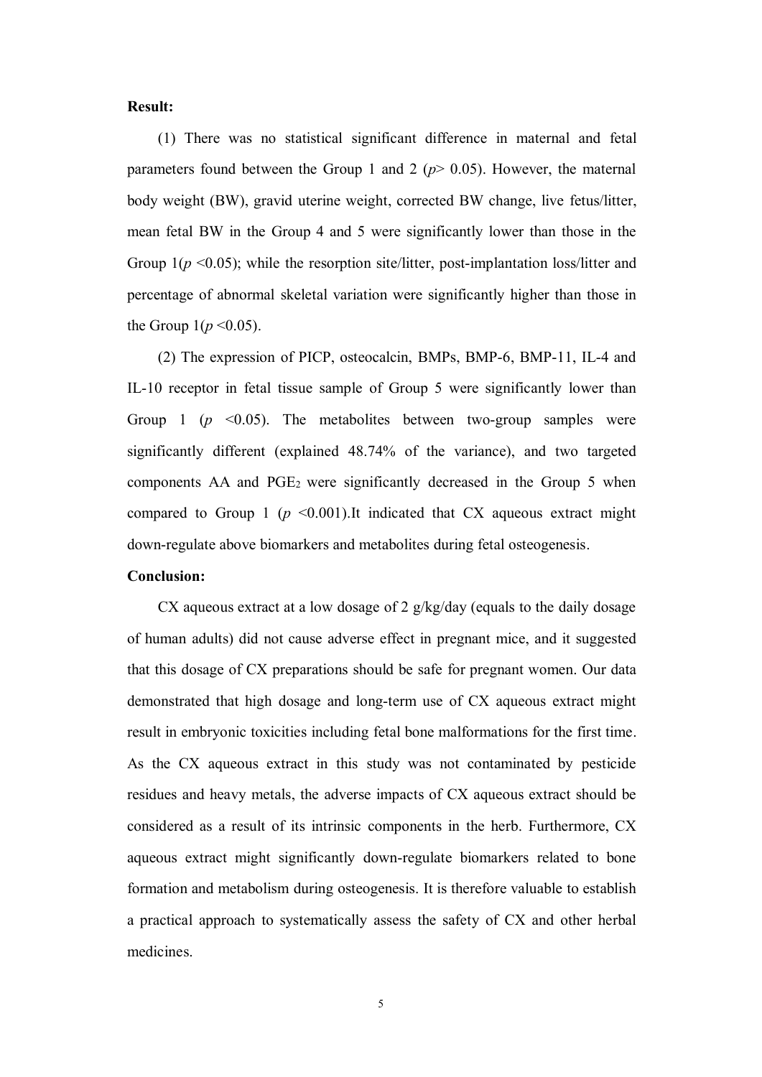#### **Result:**

(1) There was no statistical significant difference in maternal and fetal parameters found between the Group 1 and 2  $(p > 0.05)$ . However, the maternal body weight (BW), gravid uterine weight, corrected BW change, live fetus/litter, mean fetal BW in the Group 4 and 5 were significantly lower than those in the Group  $1(p \le 0.05)$ ; while the resorption site/litter, post-implantation loss/litter and percentage of abnormal skeletal variation were significantly higher than those in the Group  $1(p \le 0.05)$ .

(2) The expression of PICP, osteocalcin, BMPs, BMP-6, BMP-11, IL-4 and IL-10 receptor in fetal tissue sample of Group 5 were significantly lower than Group 1 ( $p \le 0.05$ ). The metabolites between two-group samples were significantly different (explained 48.74% of the variance), and two targeted components  $AA$  and  $PGE_2$  were significantly decreased in the Group 5 when compared to Group 1 ( $p \leq 0.001$ ).It indicated that CX aqueous extract might down-regulate above biomarkers and metabolites during fetal osteogenesis.

#### **Conclusion:**

CX aqueous extract at a low dosage of 2 g/kg/day (equals to the daily dosage of human adults) did not cause adverse effect in pregnant mice, and it suggested that this dosage of CX preparations should be safe for pregnant women. Our data demonstrated that high dosage and long-term use of CX aqueous extract might result in embryonic toxicities including fetal bone malformations for the first time. As the CX aqueous extract in this study was not contaminated by pesticide residues and heavy metals, the adverse impacts of CX aqueous extract should be considered as a result of its intrinsic components in the herb. Furthermore, CX aqueous extract might significantly down-regulate biomarkers related to bone formation and metabolism during osteogenesis. It is therefore valuable to establish a practical approach to systematically assess the safety of CX and other herbal medicines.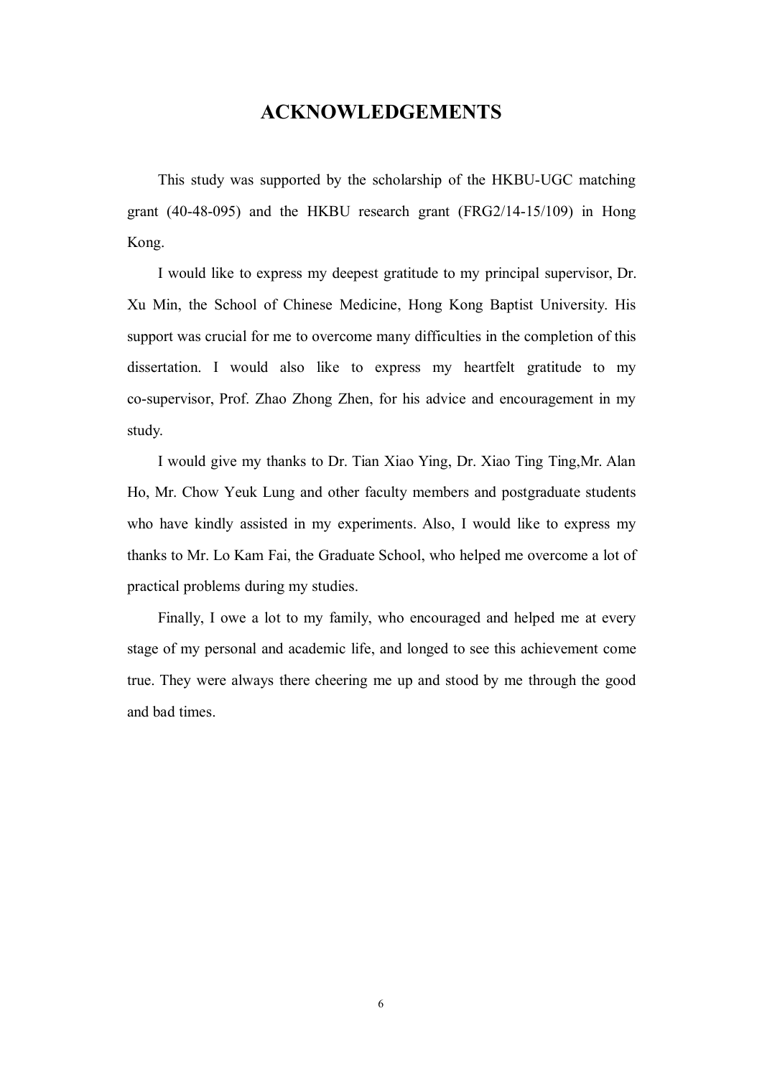#### **ACKNOWLEDGEMENTS**

This study was supported by the scholarship of the HKBU-UGC matching grant (40-48-095) and the HKBU research grant (FRG2/14-15/109) in Hong Kong.<br>I would like to express my deepest gratitude to my principal supervisor, Dr.

Xu Min, the School of Chinese Medicine, Hong Kong Baptist University. His support was crucial for me to overcome many difficulties in the completion of this dissertation. I would also like to express my heartfelt gratitude to my co-supervisor, Prof. Zhao Zhong Zhen, for his advice and encouragement in my study.<br>I would give my thanks to Dr. Tian Xiao Ying, Dr. Xiao Ting Ting,Mr. Alan

Ho, Mr. Chow Yeuk Lung and other faculty members and postgraduate students who have kindly assisted in my experiments. Also, I would like to express my thanks to Mr. Lo Kam Fai, the Graduate School, who helped me overcome a lot of practical problems during my studies.

Finally, I owe a lot to my family, who encouraged and helped me at every stage of my personal and academic life, and longed to see this achievement come true. They were always there cheering me up and stood by me through the good and bad times.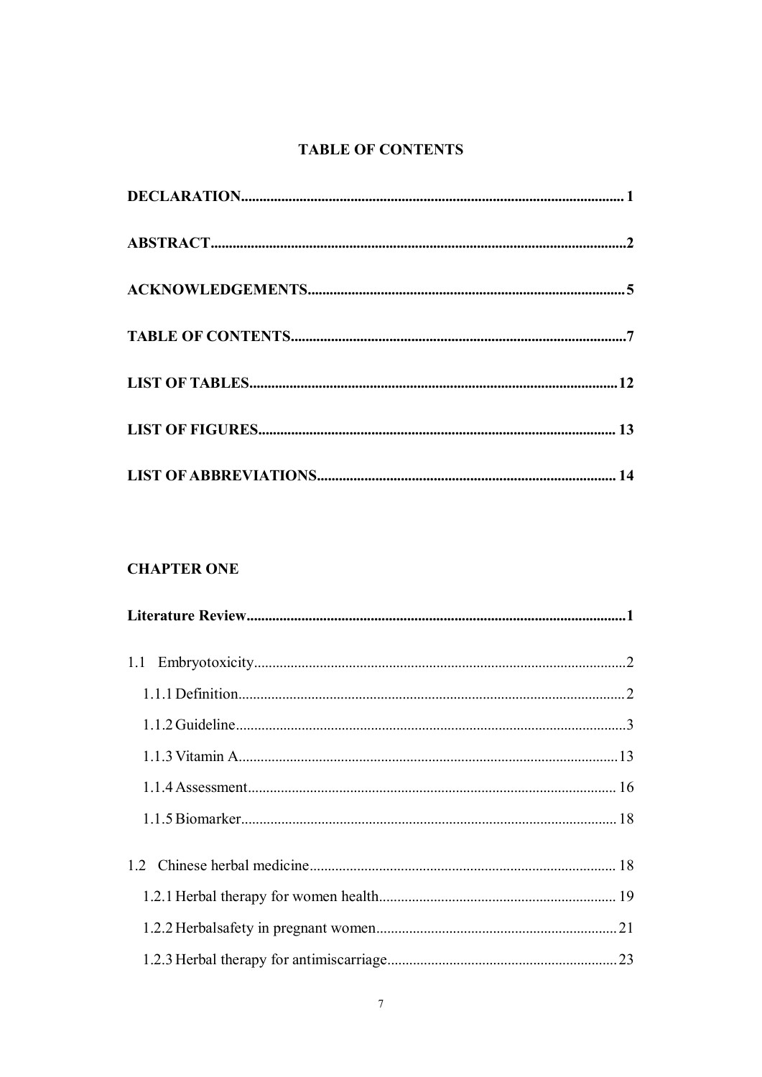#### <span id="page-5-0"></span>**TABLE OF CONTENTS**

## **CHAPTER ONE**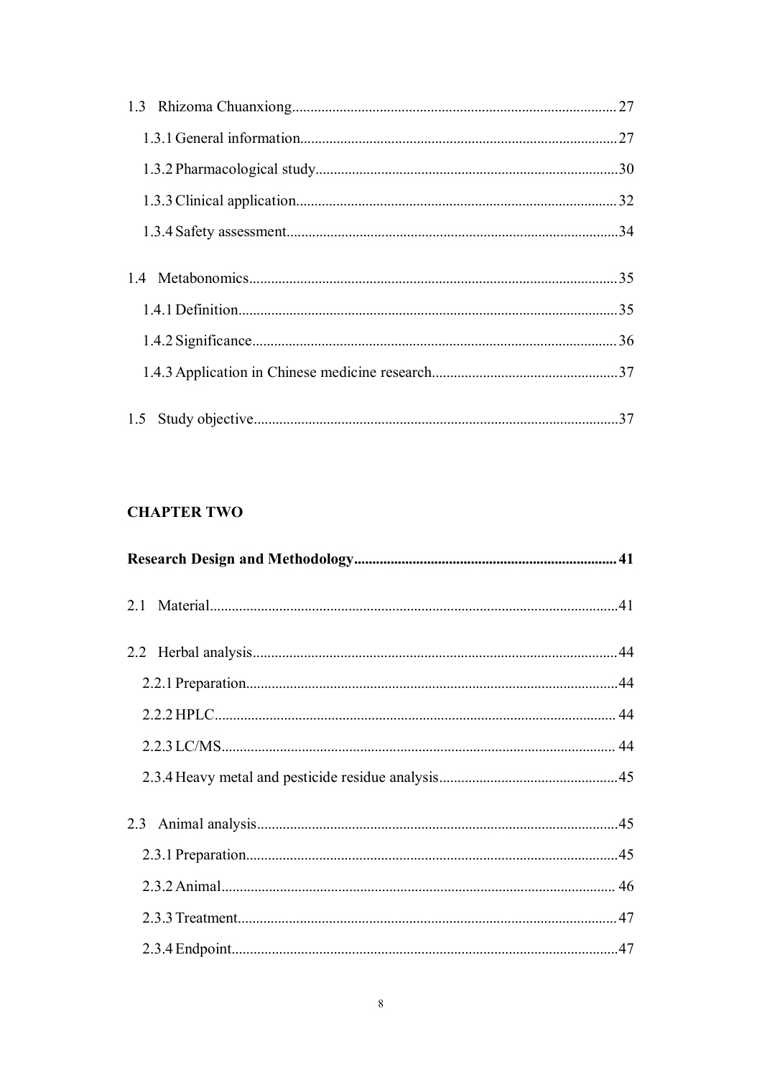#### **CHAPTER TWO**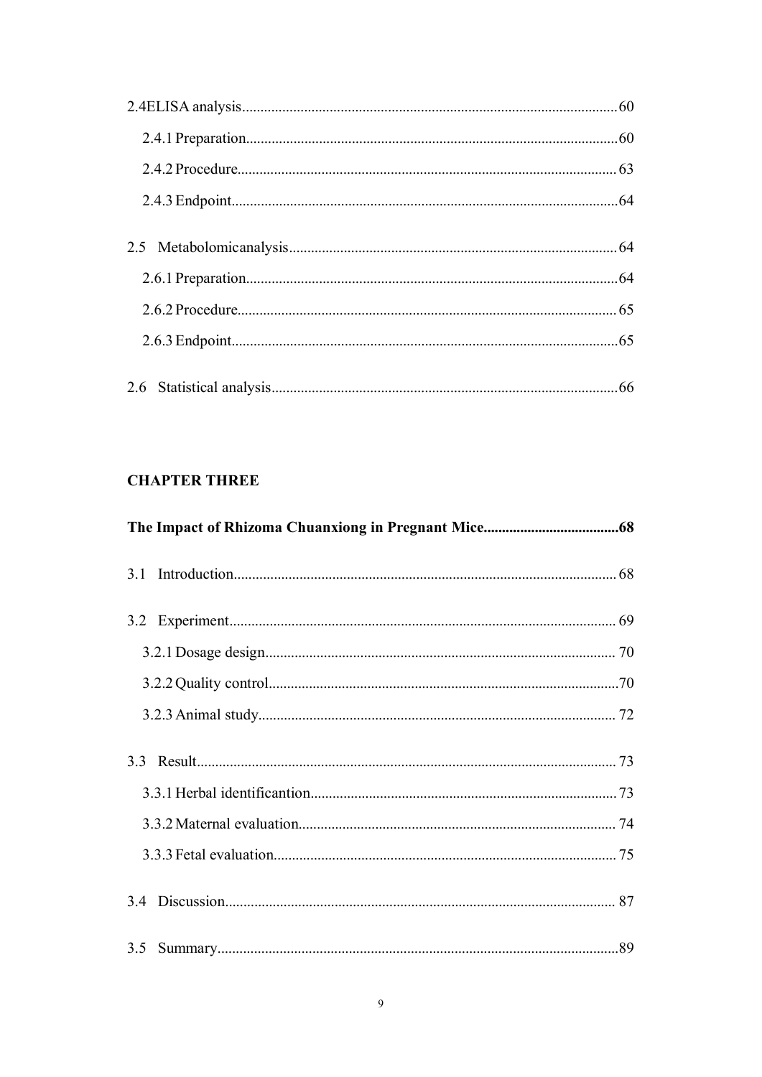## **CHAPTER THREE**